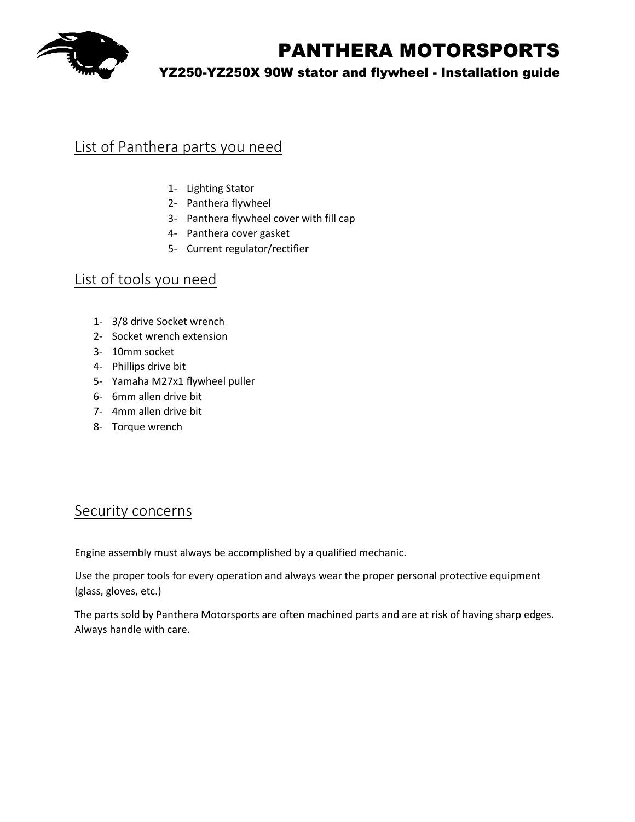

### YZ250-YZ250X 90W stator and flywheel - Installation guide

## List of Panthera parts you need

- 1- Lighting Stator
- 2- Panthera flywheel
- 3- Panthera flywheel cover with fill cap
- 4- Panthera cover gasket
- 5- Current regulator/rectifier

### List of tools you need

- 1- 3/8 drive Socket wrench
- 2- Socket wrench extension
- 3- 10mm socket
- 4- Phillips drive bit
- 5- Yamaha M27x1 flywheel puller
- 6- 6mm allen drive bit
- 7- 4mm allen drive bit
- 8- Torque wrench

### Security concerns

Engine assembly must always be accomplished by a qualified mechanic.

Use the proper tools for every operation and always wear the proper personal protective equipment (glass, gloves, etc.)

The parts sold by Panthera Motorsports are often machined parts and are at risk of having sharp edges. Always handle with care.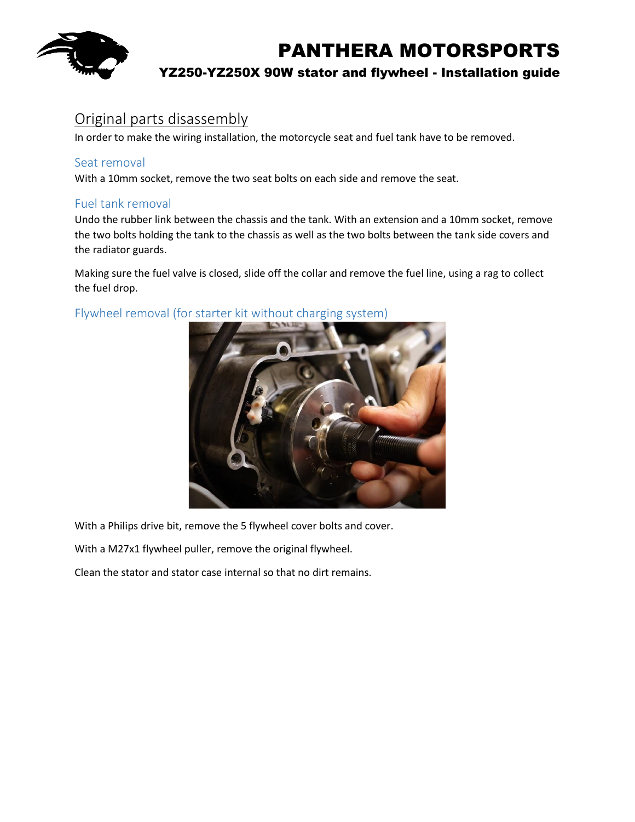

### YZ250-YZ250X 90W stator and flywheel - Installation guide

### Original parts disassembly

In order to make the wiring installation, the motorcycle seat and fuel tank have to be removed.

#### Seat removal

With a 10mm socket, remove the two seat bolts on each side and remove the seat.

#### Fuel tank removal

Undo the rubber link between the chassis and the tank. With an extension and a 10mm socket, remove the two bolts holding the tank to the chassis as well as the two bolts between the tank side covers and the radiator guards.

Making sure the fuel valve is closed, slide off the collar and remove the fuel line, using a rag to collect the fuel drop.



Flywheel removal (for starter kit without charging system)

With a Philips drive bit, remove the 5 flywheel cover bolts and cover.

With a M27x1 flywheel puller, remove the original flywheel.

Clean the stator and stator case internal so that no dirt remains.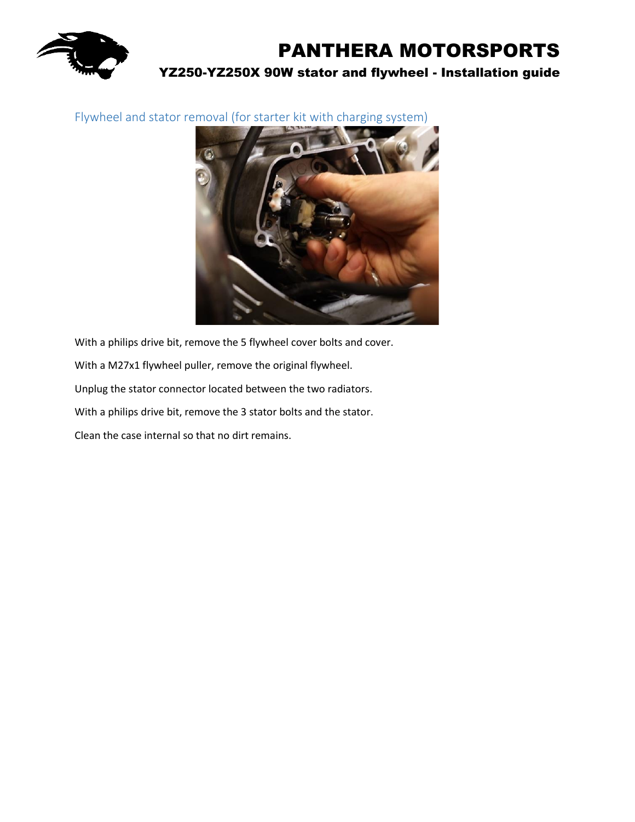

Flywheel and stator removal (for starter kit with charging system)



With a philips drive bit, remove the 5 flywheel cover bolts and cover. With a M27x1 flywheel puller, remove the original flywheel. Unplug the stator connector located between the two radiators. With a philips drive bit, remove the 3 stator bolts and the stator. Clean the case internal so that no dirt remains.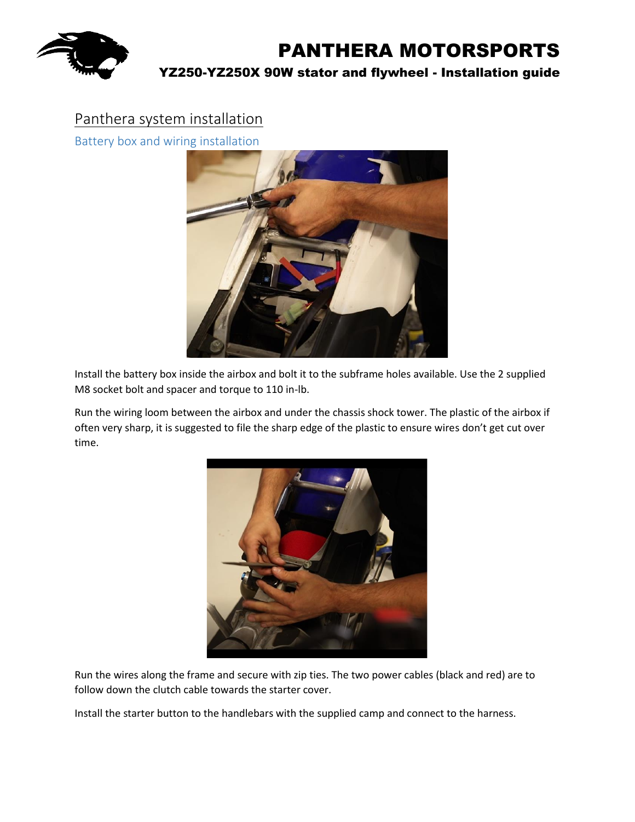

## Panthera system installation

Battery box and wiring installation



Install the battery box inside the airbox and bolt it to the subframe holes available. Use the 2 supplied M8 socket bolt and spacer and torque to 110 in-lb.

Run the wiring loom between the airbox and under the chassis shock tower. The plastic of the airbox if often very sharp, it is suggested to file the sharp edge of the plastic to ensure wires don't get cut over time.



Run the wires along the frame and secure with zip ties. The two power cables (black and red) are to follow down the clutch cable towards the starter cover.

Install the starter button to the handlebars with the supplied camp and connect to the harness.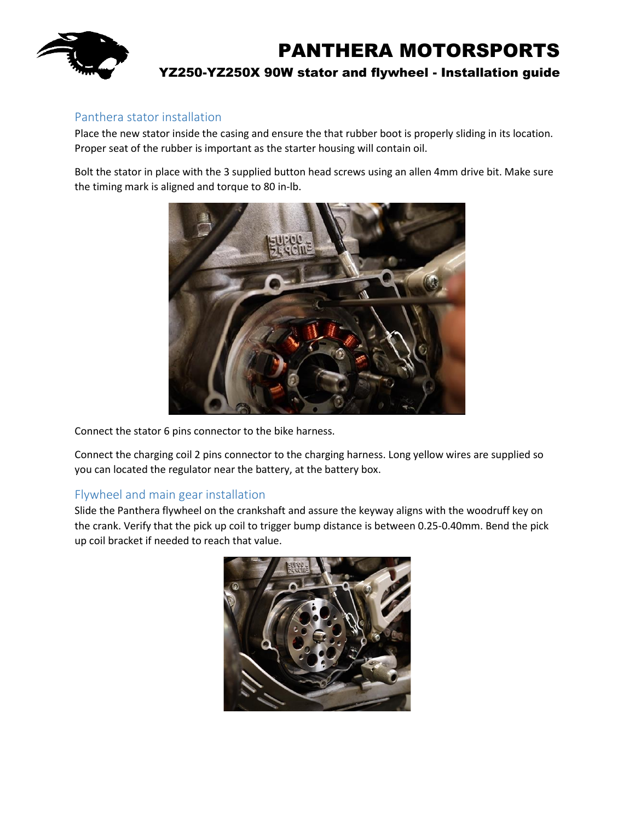

#### Panthera stator installation

Place the new stator inside the casing and ensure the that rubber boot is properly sliding in its location. Proper seat of the rubber is important as the starter housing will contain oil.

Bolt the stator in place with the 3 supplied button head screws using an allen 4mm drive bit. Make sure the timing mark is aligned and torque to 80 in-lb.



Connect the stator 6 pins connector to the bike harness.

Connect the charging coil 2 pins connector to the charging harness. Long yellow wires are supplied so you can located the regulator near the battery, at the battery box.

#### Flywheel and main gear installation

Slide the Panthera flywheel on the crankshaft and assure the keyway aligns with the woodruff key on the crank. Verify that the pick up coil to trigger bump distance is between 0.25-0.40mm. Bend the pick up coil bracket if needed to reach that value.

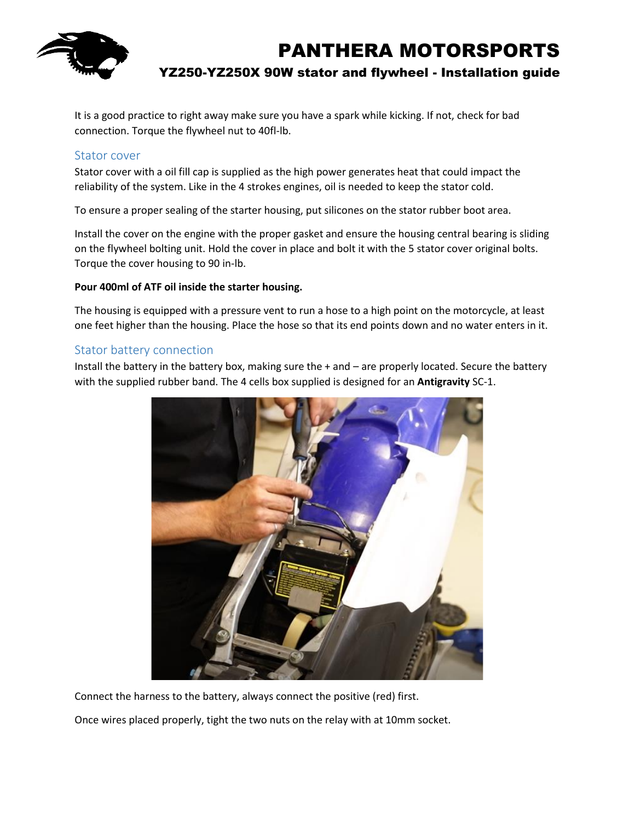

It is a good practice to right away make sure you have a spark while kicking. If not, check for bad connection. Torque the flywheel nut to 40fl-lb.

#### Stator cover

Stator cover with a oil fill cap is supplied as the high power generates heat that could impact the reliability of the system. Like in the 4 strokes engines, oil is needed to keep the stator cold.

To ensure a proper sealing of the starter housing, put silicones on the stator rubber boot area.

Install the cover on the engine with the proper gasket and ensure the housing central bearing is sliding on the flywheel bolting unit. Hold the cover in place and bolt it with the 5 stator cover original bolts. Torque the cover housing to 90 in-lb.

#### **Pour 400ml of ATF oil inside the starter housing.**

The housing is equipped with a pressure vent to run a hose to a high point on the motorcycle, at least one feet higher than the housing. Place the hose so that its end points down and no water enters in it.

#### Stator battery connection

Install the battery in the battery box, making sure the + and – are properly located. Secure the battery with the supplied rubber band. The 4 cells box supplied is designed for an **Antigravity** SC-1.



Connect the harness to the battery, always connect the positive (red) first.

Once wires placed properly, tight the two nuts on the relay with at 10mm socket.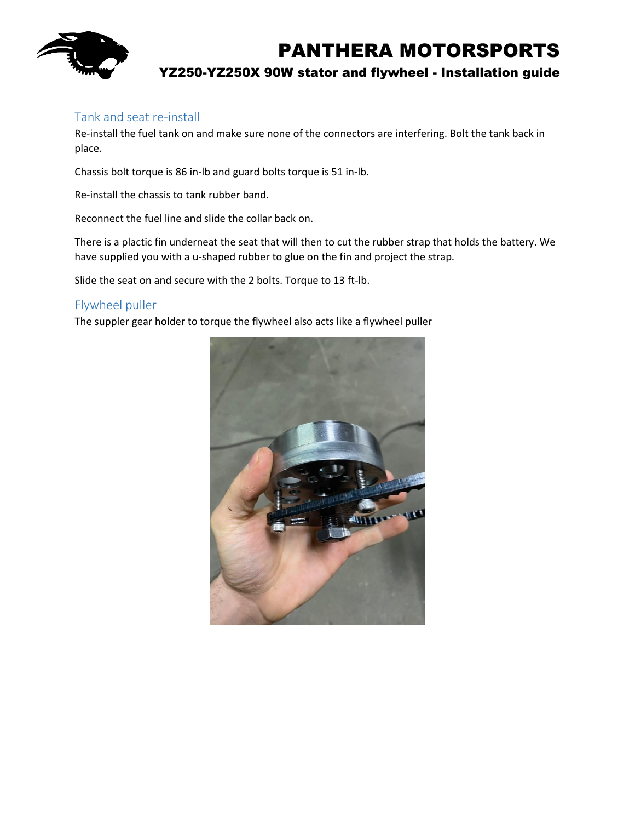

### Tank and seat re-install

Re-install the fuel tank on and make sure none of the connectors are interfering. Bolt the tank back in place.

Chassis bolt torque is 86 in-lb and guard bolts torque is 51 in-lb.

Re-install the chassis to tank rubber band.

Reconnect the fuel line and slide the collar back on.

There is a plactic fin underneat the seat that will then to cut the rubber strap that holds the battery. We have supplied you with a u-shaped rubber to glue on the fin and project the strap.

Slide the seat on and secure with the 2 bolts. Torque to 13 ft-lb.

#### Flywheel puller

The suppler gear holder to torque the flywheel also acts like a flywheel puller

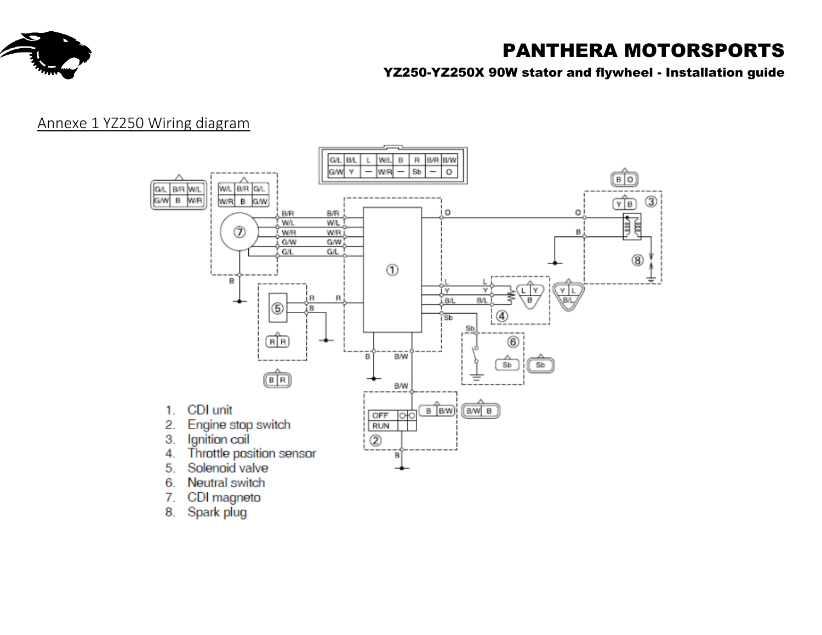

YZ250-YZ250X 90W stator and flywheel - Installation guide

## Annexe 1 YZ250 Wiring diagram

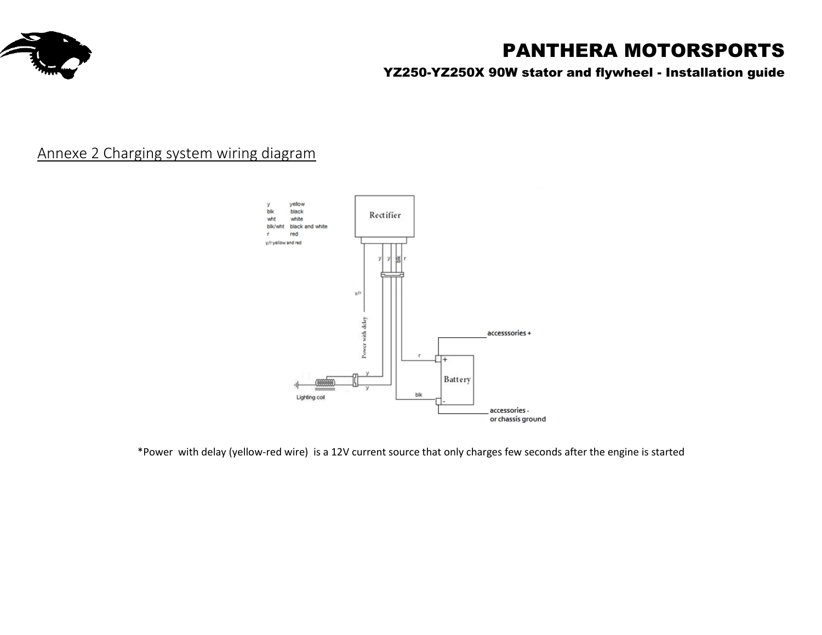

YZ250-YZ250X 90W stator and flywheel - Installation guide

# Annexe 2 Charging system wiring diagram



\*Power with delay (yellow-red wire) is a 12V current source that only charges few seconds after the engine is started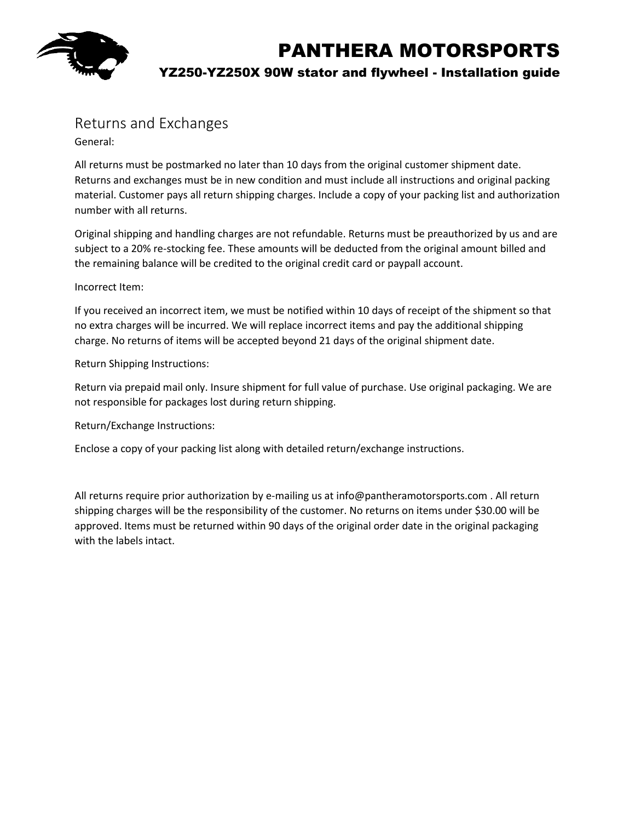

YZ250-YZ250X 90W stator and flywheel - Installation guide

## Returns and Exchanges

General:

All returns must be postmarked no later than 10 days from the original customer shipment date. Returns and exchanges must be in new condition and must include all instructions and original packing material. Customer pays all return shipping charges. Include a copy of your packing list and authorization number with all returns.

Original shipping and handling charges are not refundable. Returns must be preauthorized by us and are subject to a 20% re-stocking fee. These amounts will be deducted from the original amount billed and the remaining balance will be credited to the original credit card or paypall account.

#### Incorrect Item:

If you received an incorrect item, we must be notified within 10 days of receipt of the shipment so that no extra charges will be incurred. We will replace incorrect items and pay the additional shipping charge. No returns of items will be accepted beyond 21 days of the original shipment date.

Return Shipping Instructions:

Return via prepaid mail only. Insure shipment for full value of purchase. Use original packaging. We are not responsible for packages lost during return shipping.

Return/Exchange Instructions:

Enclose a copy of your packing list along with detailed return/exchange instructions.

All returns require prior authorization by e-mailing us at info@pantheramotorsports.com . All return shipping charges will be the responsibility of the customer. No returns on items under \$30.00 will be approved. Items must be returned within 90 days of the original order date in the original packaging with the labels intact.